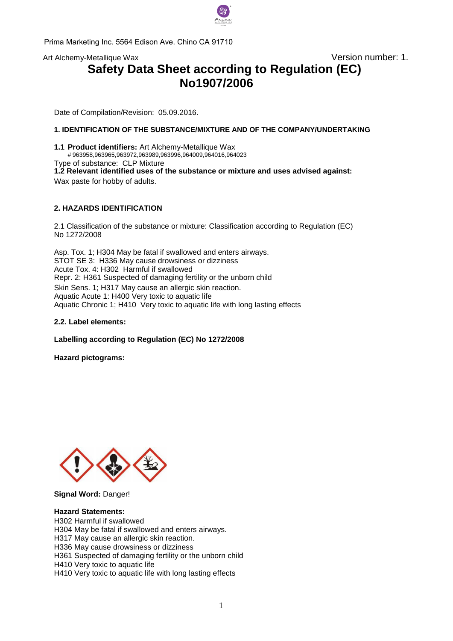

Prima Marketing Inc. 5564 Edison Ave. Chino CA 91710

Art Alchemy-Metallique Wax and the Control of the Version number: 1.

# **Safety Data Sheet according to Regulation (EC) No1907/2006**

Date of Compilation/Revision: 05.09.2016.

## **1. IDENTIFICATION OF THE SUBSTANCE/MIXTURE AND OF THE COMPANY/UNDERTAKING**

**1.1 Product identifiers:** Art Alchemy-Metallique Wax # 963958,963965,963972,963989,963996,964009,964016,964023 Type of substance: CLP Mixture **1.2 Relevant identified uses of the substance or mixture and uses advised against:**  Wax paste for hobby of adults.

#### **2. HAZARDS IDENTIFICATION**

2.1 Classification of the substance or mixture: Classification according to Regulation (EC) No 12[72/2008](mailto:info@pentacolor.hu) 

Asp. Tox. 1; H304 May be fatal if swallowed and enters airways. STOT SE 3: H336 May cause drowsiness or dizziness Acute Tox. 4: H302 Harmful if swallowed Repr. 2: H361 Suspected of damaging fertility or the unborn child Skin Sens. 1; H317 May cause an allergic skin reaction. Aquatic Acute 1: H400 Very toxic to aquatic life Aquatic Chronic 1; H410 Very toxic to aquatic life with long lasting effects

**2.2. Label elements:** 

**Labelling according to Regulation (EC) No 1272/2008** 

**Hazard pictograms:** 



**Signal Word:** Danger!

#### **Hazard Statements:**

H302 Harmful if swallowed H304 May be fatal if swallowed and enters airways. H317 May cause an allergic skin reaction. H336 May cause drowsiness or dizziness H361 Suspected of damaging fertility or the unborn child H410 Very toxic to aquatic life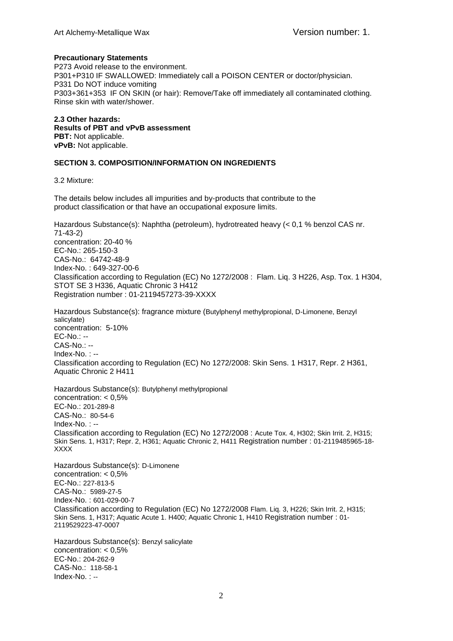## **Precautionary Statements**

P273 Avoid release to the environment. P301+P310 IF SWALLOWED: Immediately call a POISON CENTER or doctor/physician. P331 Do NOT induce vomiting P303+361+353 IF ON SKIN (or hair): Remove/Take off immediately all contaminated clothing. Rinse skin with water/shower.

**2.3 Other hazards: Results of PBT and vPvB assessment PBT:** Not applicable. **vPvB:** Not applicable.

## **SECTION 3. COMPOSITION/INFORMATION ON INGREDIENTS**

3.2 Mixture:

The details below includes all impurities and by-products that contribute to the product classification or that have an occupational exposure limits.

Hazardous Substance(s): Naphtha (petroleum), hydrotreated heavy (< 0,1 % benzol CAS nr. 71-43-2) concentration: 20-40 % EC-No.: 265-150-3 CAS-No.: 64742-48-9 Index-No. : 649-327-00-6 Classification according to Regulation (EC) No 1272/2008 : Flam. Liq. 3 H226, Asp. Tox. 1 H304, STOT SE 3 H336, Aquatic Chronic 3 H412 Registration number : 01-2119457273-39-XXXX

Hazardous Substance(s): fragrance mixture (Butylphenyl methylpropional, D-Limonene, Benzyl salicylate) concentration: 5-10% EC-No.: -- CAS-No.: -- Index-No. : -- Classification according to Regulation (EC) No 1272/2008: Skin Sens. 1 H317, Repr. 2 H361, Aquatic Chronic 2 H411

Hazardous Substance(s): Butylphenyl methylpropional concentration: < 0,5% EC-No.: 201-289-8 CAS-No.: 80-54-6 Index-No. : -- Classification according to Regulation (EC) No 1272/2008 : Acute Tox. 4, H302; Skin Irrit. 2, H315; Skin Sens. 1, H317; Repr. 2, H361; Aquatic Chronic 2, H411 Registration number : 01-2119485965-18- XXXX

Hazardous Substance(s): D-Limonene concentration: < 0,5% EC-No.: 227-813-5 CAS-No.: 5989-27-5 Index-No. : 601-029-00-7 Classification according to Regulation (EC) No 1272/2008 Flam. Liq. 3, H226; Skin Irrit. 2, H315; Skin Sens. 1, H317; Aquatic Acute 1. H400; Aquatic Chronic 1, H410 Registration number : 01- 2119529223-47-0007

Hazardous Substance(s): Benzyl salicylate concentration: < 0,5% EC-No.: 204-262-9 CAS-No.: 118-58-1 Index-No. : --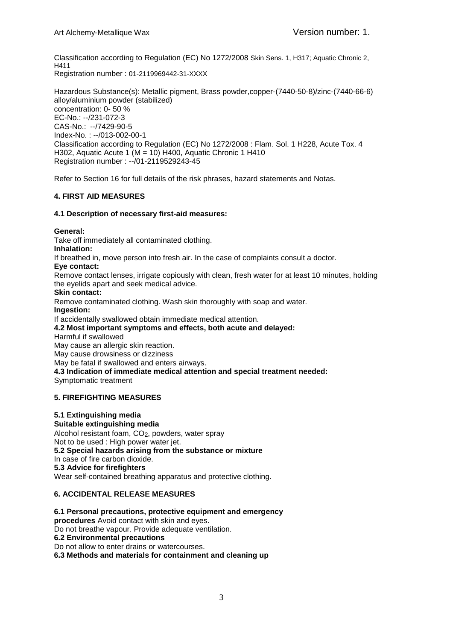Classification according to Regulation (EC) No 1272/2008 Skin Sens. 1, H317; Aquatic Chronic 2, H411 Registration number : 01-2119969442-31-XXXX

Hazardous Substance(s): Metallic pigment, Brass powder,copper-(7440-50-8)/zinc-(7440-66-6) alloy/aluminium powder (stabilized) concentration: 0- 50 % EC-No.: --/231-072-3 CAS-No.: --/7429-90-5 Index-No. : --/013-002-00-1 Classification according to Regulation (EC) No 1272/2008 : Flam. Sol. 1 H228, Acute Tox. 4 H302, Aquatic Acute 1 (M = 10) H400, Aquatic Chronic 1 H410 Registration number : --/01-2119529243-45

Refer to Section 16 for full details of the risk phrases, hazard statements and Notas.

# **4. FIRST AID MEASURES**

## **4.1 Description of necessary first-aid measures:**

**General:**

Take off immediately all contaminated clothing.

**Inhalation:**

If breathed in, move person into fresh air. In the case of complaints consult a doctor.

**Eye contact:**

Remove contact lenses, irrigate copiously with clean, fresh water for at least 10 minutes, holding the eyelids apart and seek medical advice.

**Skin contact:**

Remove contaminated clothing. Wash skin thoroughly with soap and water.

**Ingestion:**

If accidentally swallowed obtain immediate medical attention.

## **4.2 Most important symptoms and effects, both acute and delayed:**

Harmful if swallowed

May cause an allergic skin reaction.

May cause drowsiness or dizziness

May be fatal if swallowed and enters airways.

**4.3 Indication of immediate medical attention and special treatment needed:**

Symptomatic treatment

# **5. FIREFIGHTING MEASURES**

# **5.1 Extinguishing media**

**Suitable extinguishing media** Alcohol resistant foam,  $CO<sub>2</sub>$ , powders, water spray Not to be used : High power water jet. **5.2 Special hazards arising from the substance or mixture**  In case of fire carbon dioxide. **5.3 Advice for firefighters** Wear self-contained breathing apparatus and protective clothing.

# **6. ACCIDENTAL RELEASE MEASURES**

**6.1 Personal precautions, protective equipment and emergency procedures** Avoid contact with skin and eyes. Do not breathe vapour. Provide adequate ventilation. **6.2 Environmental precautions** Do not allow to enter drains or watercourses. **6.3 Methods and materials for containment and cleaning up**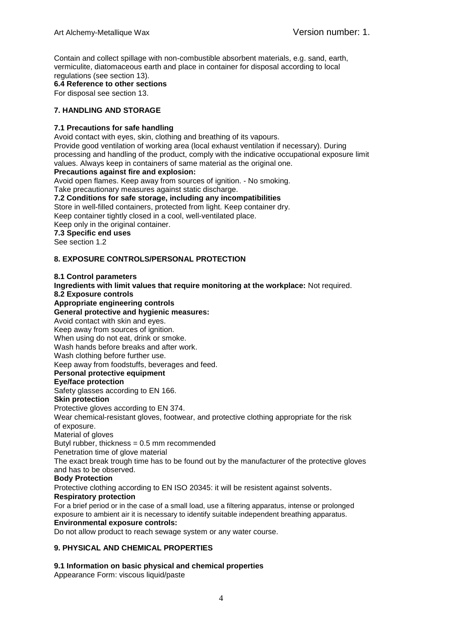Contain and collect spillage with non-combustible absorbent materials, e.g. sand, earth, vermiculite, diatomaceous earth and place in container for disposal according to local regulations (see section 13).

**6.4 Reference to other sections**

For disposal see section 13.

## **7. HANDLING AND STORAGE**

## **7.1 Precautions for safe handling**

Avoid contact with eyes, skin, clothing and breathing of its vapours.

Provide good ventilation of working area (local exhaust ventilation if necessary). During processing and handling of the product, comply with the indicative occupational exposure limit values. Always keep in containers of same material as the original one.

## **Precautions against fire and explosion:**

Avoid open flames. Keep away from sources of ignition. - No smoking.

Take precautionary measures against static discharge.

**7.2 Conditions for safe storage, including any incompatibilities** Store in well-filled containers, protected from light. Keep container dry. Keep container tightly closed in a cool, well-ventilated place. Keep only in the original container. **7.3 Specific end uses** See section 1.2

## **8. EXPOSURE CONTROLS/PERSONAL PROTECTION**

#### **8.1 Control parameters**

**Ingredients with limit values that require monitoring at the workplace:** Not required. **8.2 Exposure controls**

# **Appropriate engineering controls**

#### **General protective and hygienic measures:**

Avoid contact with skin and eyes.

Keep away from sources of ignition.

When using do not eat, drink or smoke.

Wash hands before breaks and after work.

Wash clothing before further use.

Keep away from foodstuffs, beverages and feed.

## **Personal protective equipment**

#### **Eye/face protection**

Safety glasses according to EN 166.

#### **Skin protection**

Protective gloves according to EN 374.

Wear chemical-resistant gloves, footwear, and protective clothing appropriate for the risk of exposure.

Material of gloves

Butyl rubber, thickness = 0.5 mm recommended

Penetration time of glove material

The exact break trough time has to be found out by the manufacturer of the protective gloves and has to be observed.

#### **Body Protection**

Protective clothing according to EN ISO 20345: it will be resistent against solvents.

## **Respiratory protection**

For a brief period or in the case of a small load, use a filtering apparatus, intense or prolonged exposure to ambient air it is necessary to identify suitable independent breathing apparatus. **Environmental exposure controls:**

Do not allow product to reach sewage system or any water course.

## **9. PHYSICAL AND CHEMICAL PROPERTIES**

## **9.1 Information on basic physical and chemical properties**

Appearance Form: viscous liquid/paste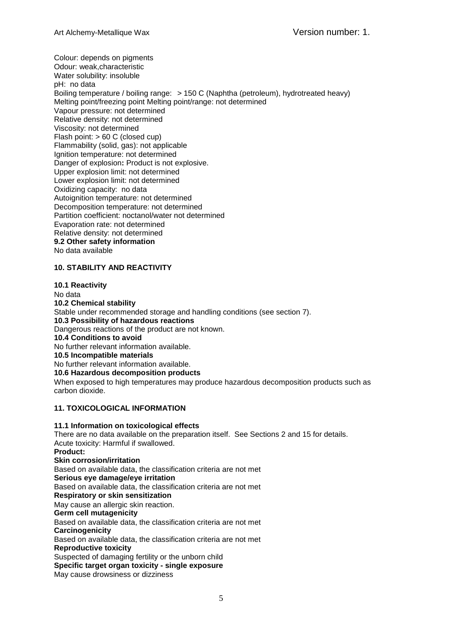Colour: depends on pigments Odour: weak,characteristic Water solubility: insoluble pH: no data Boiling temperature / boiling range: > 150 C (Naphtha (petroleum), hydrotreated heavy) Melting point/freezing point Melting point/range: not determined Vapour pressure: not determined Relative density: not determined Viscosity: not determined Flash point: > 60 C (closed cup) Flammability (solid, gas): not applicable Ignition temperature: not determined Danger of explosion**:** Product is not explosive. Upper explosion limit: not determined Lower explosion limit: not determined Oxidizing capacity: no data Autoignition temperature: not determined Decomposition temperature: not determined Partition coefficient: noctanol/water not determined Evaporation rate: not determined Relative density: not determined **9.2 Other safety information** No data available

## **10. STABILITY AND REACTIVITY**

**10.1 Reactivity** No data **10.2 Chemical stability** Stable under recommended storage and handling conditions (see section 7). **10.3 Possibility of hazardous reactions** Dangerous reactions of the product are not known. **10.4 Conditions to avoid** No further relevant information available. **10.5 Incompatible materials** No further relevant information available. **10.6 Hazardous decomposition products**

When exposed to high temperatures may produce hazardous decomposition products such as carbon dioxide.

## **11. TOXICOLOGICAL INFORMATION**

**11.1 Information on toxicological effects** There are no data available on the preparation itself. See Sections 2 and 15 for details. Acute toxicity: Harmful if swallowed. **Product: Skin corrosion/irritation** Based on available data, the classification criteria are not met **Serious eye damage/eye irritation** Based on available data, the classification criteria are not met **Respiratory or skin sensitization** May cause an allergic skin reaction. **Germ cell mutagenicity** Based on available data, the classification criteria are not met **Carcinogenicity** Based on available data, the classification criteria are not met **Reproductive toxicity** Suspected of damaging fertility or the unborn child **Specific target organ toxicity - single exposure** May cause drowsiness or dizziness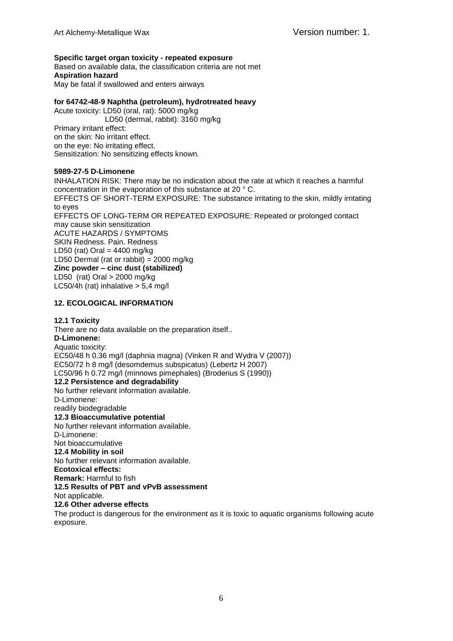## **Specific target organ toxicity - repeated exposure**

Based on available data, the classification criteria are not met **Aspiration hazard** May be fatal if swallowed and enters airways

## **for 64742-48-9 Naphtha (petroleum), hydrotreated heavy**

Acute toxicity: LD50 (oral, rat): 5000 mg/kg LD50 (dermal, rabbit): 3160 mg/kg Primary irritant effect: on the skin: No irritant effect. on the eye: No irritating effect. Sensitization: No sensitizing effects known*.*

#### **5989-27-5 D-Limonene**

INHALATION RISK: There may be no indication about the rate at which it reaches a harmful concentration in the evaporation of this substance at 20 ° C. EFFECTS OF SHORT-TERM EXPOSURE: The substance irritating to the skin, mildly irritating to eyes EFFECTS OF LONG-TERM OR REPEATED EXPOSURE: Repeated or prolonged contact may cause skin sensitization ACUTE HAZARDS / SYMPTOMS SKIN Redness. Pain. Redness LD50 (rat) Oral  $=$  4400 mg/kg LD50 Dermal (rat or rabbit) = 2000 mg/kg **Zinc powder – cinc dust (stabilized)** LD50 (rat) Oral > 2000 mg/kg LC50/4h (rat) inhalative  $> 5.4$  mg/l

## **12. ECOLOGICAL INFORMATION**

## **12.1 Toxicity**

There are no data available on the preparation itself.. **D-Limonene:** Aquatic toxicity: EC50/48 h 0.36 mg/l (daphnia magna) (Vinken R and Wydra V (2007)) EC50/72 h 8 mg/l (desomdemus subspicatus) (Lebertz H 2007) LC50/96 h 0.72 mg/l (minnows pimephales) (Broderius S (1990)) **12.2 Persistence and degradability** No further relevant information available. D-Limonene: readily biodegradable **12.3 Bioaccumulative potential** No further relevant information available. D-Limonene: Not bioaccumulative **12.4 Mobility in soil** No further relevant information available. **Ecotoxical effects: Remark:** Harmful to fish **12.5 Results of PBT and vPvB assessment** Not applicable. **12.6 Other adverse effects** The product is dangerous for the environment as it is toxic to aquatic organisms following acute exposure.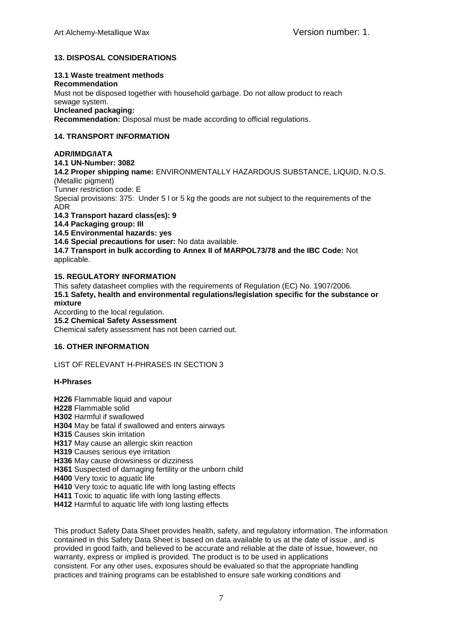# **13. DISPOSAL CONSIDERATIONS**

## **13.1 Waste treatment methods**

**Recommendation** Must not be disposed together with household garbage. Do not allow product to reach sewage system. **Uncleaned packaging: Recommendation:** Disposal must be made according to official regulations.

## **14. TRANSPORT INFORMATION**

## **ADR/IMDG/IATA**

**14.1 UN-Number: 3082**

**14.2 Proper shipping name:** ENVIRONMENTALLY HAZARDOUS SUBSTANCE, LIQUID, N.O.S. (Metallic pigment)

Tunner restriction code: E

Special provisions: 375: Under 5 l or 5 kg the goods are not subject to the requirements of the ADR

**14.3 Transport hazard class(es): 9**

**14.4 Packaging group: III**

**14.5 Environmental hazards: yes**

**14.6 Special precautions for user:** No data available.

**14.7 Transport in bulk according to Annex II of MARPOL73/78 and the IBC Code:** Not applicable.

## **15. REGULATORY INFORMATION**

This safety datasheet complies with the requirements of Regulation (EC) No. 1907/2006. **15.1 Safety, health and environmental regulations/legislation specific for the substance or mixture**

According to the local regulation. **15.2 Chemical Safety Assessment** Chemical safety assessment has not been carried out.

## **16. OTHER INFORMATION**

LIST OF RELEVANT H-PHRASES IN SECTION 3

## **H-Phrases**

- **H226** Flammable liquid and vapour **H228** Flammable solid **H302** Harmful if swallowed **H304** May be fatal if swallowed and enters airways **H315** Causes skin irritation **H317** May cause an allergic skin reaction **H319** Causes serious eye irritation **H336** May cause drowsiness or dizziness **H361** Suspected of damaging fertility or the unborn child **H400** Very toxic to aquatic life **H410** Very toxic to aquatic life with long lasting effects **H411** Toxic to aquatic life with long lasting effects
- **H412** Harmful to aquatic life with long lasting effects

This product Safety Data Sheet provides health, safety, and regulatory information. The information contained in this Safety Data Sheet is based on data available to us at the date of issue , and is provided in good faith, and believed to be accurate and reliable at the date of issue, however, no warranty, express or implied is provided. The product is to be used in applications consistent. For any other uses, exposures should be evaluated so that the appropriate handling practices and training programs can be established to ensure safe working conditions and